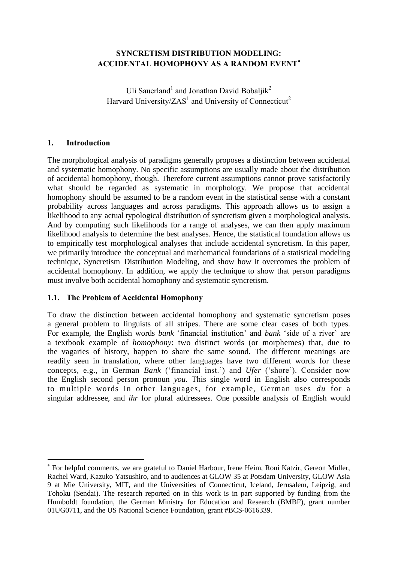## **SYNCRETISM DISTRIBUTION MODELING: ACCIDENTAL HOMOPHONY AS A RANDOM EVENT**

Uli Sauerland<sup>1</sup> and Jonathan David Bobaljik<sup>2</sup> Harvard University/ $ZAS<sup>1</sup>$  and University of Connecticut<sup>2</sup>

## **1. Introduction**

 $\overline{a}$ 

The morphological analysis of paradigms generally proposes a distinction between accidental and systematic homophony. No specific assumptions are usually made about the distribution of accidental homophony, though. Therefore current assumptions cannot prove satisfactorily what should be regarded as systematic in morphology. We propose that accidental homophony should be assumed to be a random event in the statistical sense with a constant probability across languages and across paradigms. This approach allows us to assign a likelihood to any actual typological distribution of syncretism given a morphological analysis. And by computing such likelihoods for a range of analyses, we can then apply maximum likelihood analysis to determine the best analyses. Hence, the statistical foundation allows us to empirically test morphological analyses that include accidental syncretism. In this paper, we primarily introduce the conceptual and mathematical foundations of a statistical modeling technique, Syncretism Distribution Modeling, and show how it overcomes the problem of accidental homophony. In addition, we apply the technique to show that person paradigms must involve both accidental homophony and systematic syncretism.

## **1.1. The Problem of Accidental Homophony**

To draw the distinction between accidental homophony and systematic syncretism poses a general problem to linguists of all stripes. There are some clear cases of both types. For example, the English words *bank* 'financial institution' and *bank* 'side of a river' are a textbook example of *homophony*: two distinct words (or morphemes) that, due to the vagaries of history, happen to share the same sound. The different meanings are readily seen in translation, where other languages have two different words for these concepts, e.g., in German *Bank* ('financial inst.') and *Ufer* ('shore'). Consider now the English second person pronoun *you*. This single word in English also corresponds to multiple words in other languages, for example, German uses *du* for a singular addressee, and *ihr* for plural addressees. One possible analysis of English would

For helpful comments, we are grateful to Daniel Harbour, Irene Heim, Roni Katzir, Gereon Müller, Rachel Ward, Kazuko Yatsushiro, and to audiences at GLOW 35 at Potsdam University, GLOW Asia 9 at Mie University, MIT, and the Universities of Connecticut, Iceland, Jerusalem, Leipzig, and Tohoku (Sendai). The research reported on in this work is in part supported by funding from the Humboldt foundation, the German Ministry for Education and Research (BMBF), grant number 01UG0711, and the US National Science Foundation, grant #BCS-0616339.